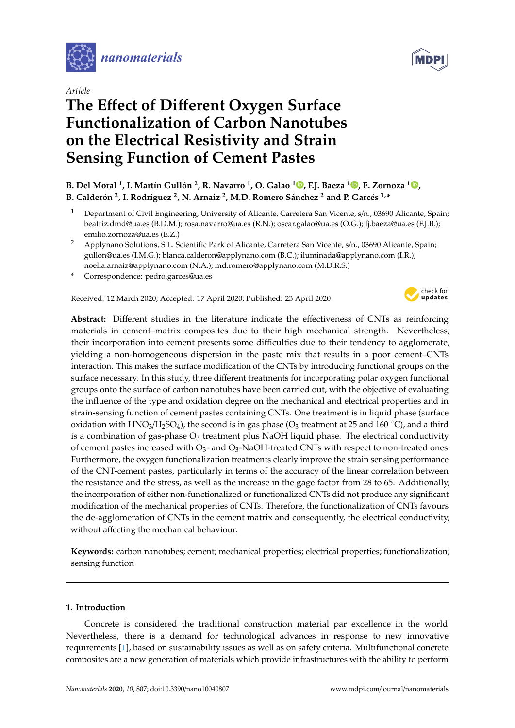

*Article*

# **The E**ff**ect of Di**ff**erent Oxygen Surface Functionalization of Carbon Nanotubes on the Electrical Resistivity and Strain Sensing Function of Cement Pastes**



### **B. Del Moral <sup>1</sup> , I. Martín Gullón 2 , R. Navarro <sup>1</sup> , O. Galao <sup>1</sup> [,](https://orcid.org/0000-0003-0458-1845) F.J. Baeza [1](https://orcid.org/0000-0002-6837-3423) , E. Zornoza <sup>1</sup> [,](https://orcid.org/0000-0003-2302-5115) B. Calderón 2 , I. Rodríguez <sup>2</sup> , N. Arnaiz <sup>2</sup> , M.D. Romero Sánchez <sup>2</sup> and P. Garcés 1,\***

- <sup>1</sup> Department of Civil Engineering, University of Alicante, Carretera San Vicente, s/n., 03690 Alicante, Spain; beatriz.dmd@ua.es (B.D.M.); rosa.navarro@ua.es (R.N.); oscar.galao@ua.es (O.G.); fj.baeza@ua.es (F.J.B.); emilio.zornoza@ua.es (E.Z.)
- <sup>2</sup> Applynano Solutions, S.L. Scientific Park of Alicante, Carretera San Vicente, s/n., 03690 Alicante, Spain; gullon@ua.es (I.M.G.); blanca.calderon@applynano.com (B.C.); iluminada@applynano.com (I.R.); noelia.arnaiz@applynano.com (N.A.); md.romero@applynano.com (M.D.R.S.)
- **\*** Correspondence: pedro.garces@ua.es

Received: 12 March 2020; Accepted: 17 April 2020; Published: 23 April 2020



**Abstract:** Different studies in the literature indicate the effectiveness of CNTs as reinforcing materials in cement–matrix composites due to their high mechanical strength. Nevertheless, their incorporation into cement presents some difficulties due to their tendency to agglomerate, yielding a non-homogeneous dispersion in the paste mix that results in a poor cement–CNTs interaction. This makes the surface modification of the CNTs by introducing functional groups on the surface necessary. In this study, three different treatments for incorporating polar oxygen functional groups onto the surface of carbon nanotubes have been carried out, with the objective of evaluating the influence of the type and oxidation degree on the mechanical and electrical properties and in strain-sensing function of cement pastes containing CNTs. One treatment is in liquid phase (surface oxidation with  $HNO<sub>3</sub>/H<sub>2</sub>SO<sub>4</sub>$ ), the second is in gas phase (O<sub>3</sub> treatment at 25 and 160 °C), and a third is a combination of gas-phase  $O_3$  treatment plus NaOH liquid phase. The electrical conductivity of cement pastes increased with  $O_3$ - and  $O_3$ -NaOH-treated CNTs with respect to non-treated ones. Furthermore, the oxygen functionalization treatments clearly improve the strain sensing performance of the CNT-cement pastes, particularly in terms of the accuracy of the linear correlation between the resistance and the stress, as well as the increase in the gage factor from 28 to 65. Additionally, the incorporation of either non-functionalized or functionalized CNTs did not produce any significant modification of the mechanical properties of CNTs. Therefore, the functionalization of CNTs favours the de-agglomeration of CNTs in the cement matrix and consequently, the electrical conductivity, without affecting the mechanical behaviour.

**Keywords:** carbon nanotubes; cement; mechanical properties; electrical properties; functionalization; sensing function

#### **1. Introduction**

Concrete is considered the traditional construction material par excellence in the world. Nevertheless, there is a demand for technological advances in response to new innovative requirements [\[1\]](#page-12-0), based on sustainability issues as well as on safety criteria. Multifunctional concrete composites are a new generation of materials which provide infrastructures with the ability to perform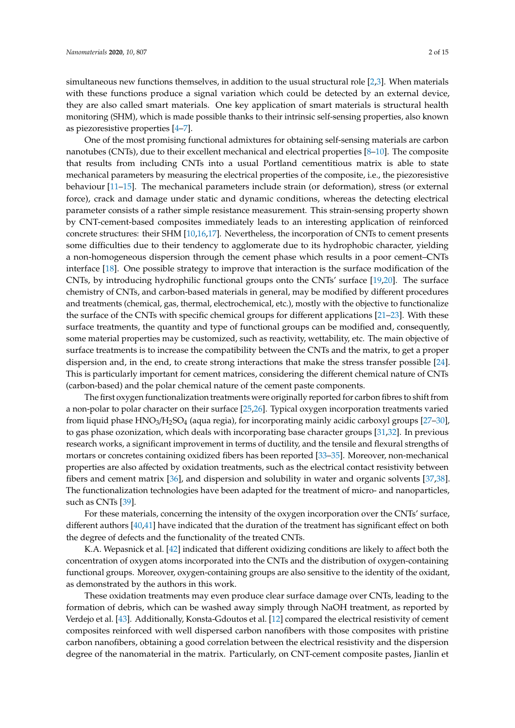simultaneous new functions themselves, in addition to the usual structural role [\[2](#page-12-1)[,3\]](#page-12-2). When materials with these functions produce a signal variation which could be detected by an external device, they are also called smart materials. One key application of smart materials is structural health monitoring (SHM), which is made possible thanks to their intrinsic self-sensing properties, also known as piezoresistive properties [\[4](#page-12-3)[–7\]](#page-12-4).

One of the most promising functional admixtures for obtaining self-sensing materials are carbon nanotubes (CNTs), due to their excellent mechanical and electrical properties [\[8](#page-12-5)[–10\]](#page-12-6). The composite that results from including CNTs into a usual Portland cementitious matrix is able to state mechanical parameters by measuring the electrical properties of the composite, i.e., the piezoresistive behaviour [\[11](#page-13-0)[–15\]](#page-13-1). The mechanical parameters include strain (or deformation), stress (or external force), crack and damage under static and dynamic conditions, whereas the detecting electrical parameter consists of a rather simple resistance measurement. This strain-sensing property shown by CNT-cement-based composites immediately leads to an interesting application of reinforced concrete structures: their SHM [\[10,](#page-12-6)[16,](#page-13-2)[17\]](#page-13-3). Nevertheless, the incorporation of CNTs to cement presents some difficulties due to their tendency to agglomerate due to its hydrophobic character, yielding a non-homogeneous dispersion through the cement phase which results in a poor cement–CNTs interface [\[18\]](#page-13-4). One possible strategy to improve that interaction is the surface modification of the CNTs, by introducing hydrophilic functional groups onto the CNTs' surface [\[19](#page-13-5)[,20\]](#page-13-6). The surface chemistry of CNTs, and carbon-based materials in general, may be modified by different procedures and treatments (chemical, gas, thermal, electrochemical, etc.), mostly with the objective to functionalize the surface of the CNTs with specific chemical groups for different applications [\[21](#page-13-7)[–23\]](#page-13-8). With these surface treatments, the quantity and type of functional groups can be modified and, consequently, some material properties may be customized, such as reactivity, wettability, etc. The main objective of surface treatments is to increase the compatibility between the CNTs and the matrix, to get a proper dispersion and, in the end, to create strong interactions that make the stress transfer possible [\[24\]](#page-13-9). This is particularly important for cement matrices, considering the different chemical nature of CNTs (carbon-based) and the polar chemical nature of the cement paste components.

The first oxygen functionalization treatments were originally reported for carbon fibres to shift from a non-polar to polar character on their surface [\[25,](#page-13-10)[26\]](#page-13-11). Typical oxygen incorporation treatments varied from liquid phase  $HNO<sub>3</sub>/H<sub>2</sub>SO<sub>4</sub>$  (aqua regia), for incorporating mainly acidic carboxyl groups [\[27](#page-13-12)[–30\]](#page-13-13), to gas phase ozonization, which deals with incorporating base character groups [\[31,](#page-13-14)[32\]](#page-13-15). In previous research works, a significant improvement in terms of ductility, and the tensile and flexural strengths of mortars or concretes containing oxidized fibers has been reported [\[33](#page-13-16)[–35\]](#page-14-0). Moreover, non-mechanical properties are also affected by oxidation treatments, such as the electrical contact resistivity between fibers and cement matrix [\[36\]](#page-14-1), and dispersion and solubility in water and organic solvents [\[37,](#page-14-2)[38\]](#page-14-3). The functionalization technologies have been adapted for the treatment of micro- and nanoparticles, such as CNTs [\[39\]](#page-14-4).

For these materials, concerning the intensity of the oxygen incorporation over the CNTs' surface, different authors [\[40](#page-14-5)[,41\]](#page-14-6) have indicated that the duration of the treatment has significant effect on both the degree of defects and the functionality of the treated CNTs.

K.A. Wepasnick et al. [\[42\]](#page-14-7) indicated that different oxidizing conditions are likely to affect both the concentration of oxygen atoms incorporated into the CNTs and the distribution of oxygen-containing functional groups. Moreover, oxygen-containing groups are also sensitive to the identity of the oxidant, as demonstrated by the authors in this work.

These oxidation treatments may even produce clear surface damage over CNTs, leading to the formation of debris, which can be washed away simply through NaOH treatment, as reported by Verdejo et al. [\[43\]](#page-14-8). Additionally, Konsta-Gdoutos et al. [\[12\]](#page-13-17) compared the electrical resistivity of cement composites reinforced with well dispersed carbon nanofibers with those composites with pristine carbon nanofibers, obtaining a good correlation between the electrical resistivity and the dispersion degree of the nanomaterial in the matrix. Particularly, on CNT-cement composite pastes, Jianlin et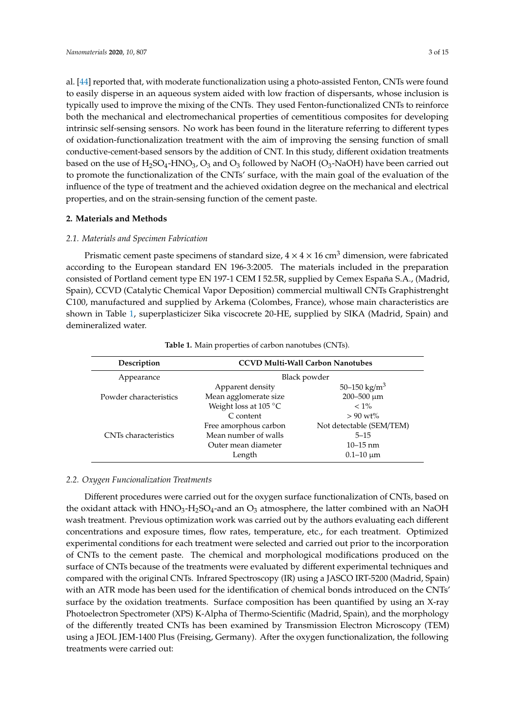al. [\[44\]](#page-14-9) reported that, with moderate functionalization using a photo-assisted Fenton, CNTs were found to easily disperse in an aqueous system aided with low fraction of dispersants, whose inclusion is typically used to improve the mixing of the CNTs. They used Fenton-functionalized CNTs to reinforce both the mechanical and electromechanical properties of cementitious composites for developing intrinsic self-sensing sensors. No work has been found in the literature referring to different types of oxidation-functionalization treatment with the aim of improving the sensing function of small conductive-cement-based sensors by the addition of CNT. In this study, different oxidation treatments based on the use of  $H_2SO_4$ -HNO<sub>3</sub>, O<sub>3</sub> and O<sub>3</sub> followed by NaOH (O<sub>3</sub>-NaOH) have been carried out to promote the functionalization of the CNTs' surface, with the main goal of the evaluation of the influence of the type of treatment and the achieved oxidation degree on the mechanical and electrical properties, and on the strain-sensing function of the cement paste.

#### **2. Materials and Methods**

#### *2.1. Materials and Specimen Fabrication*

Prismatic cement paste specimens of standard size,  $4 \times 4 \times 16$  cm<sup>3</sup> dimension, were fabricated according to the European standard EN 196-3:2005. The materials included in the preparation consisted of Portland cement type EN 197-1 CEM I 52.5R, supplied by Cemex España S.A., (Madrid, Spain), CCVD (Catalytic Chemical Vapor Deposition) commercial multiwall CNTs Graphistrenght C100, manufactured and supplied by Arkema (Colombes, France), whose main characteristics are shown in Table [1,](#page-2-0) superplasticizer Sika viscocrete 20-HE, supplied by SIKA (Madrid, Spain) and demineralized water.

<span id="page-2-0"></span>

| Description            | <b>CCVD Multi-Wall Carbon Nanotubes</b> |                          |  |
|------------------------|-----------------------------------------|--------------------------|--|
| Appearance             | Black powder                            |                          |  |
|                        | Apparent density                        | 50–150 kg/m <sup>3</sup> |  |
| Powder characteristics | Mean agglomerate size                   | 200-500 μm               |  |
|                        | Weight loss at 105 °C                   | $< 1\%$                  |  |
|                        | C content                               | $> 90 \text{ wt}$ %      |  |
|                        | Free amorphous carbon                   | Not detectable (SEM/TEM) |  |
| CNTs characteristics   | Mean number of walls                    | $5 - 15$                 |  |
|                        | Outer mean diameter                     | $10 - 15$ nm             |  |
|                        | Length                                  | $0.1 - 10 \mu m$         |  |

#### **Table 1.** Main properties of carbon nanotubes (CNTs).

#### *2.2. Oxygen Funcionalization Treatments*

Different procedures were carried out for the oxygen surface functionalization of CNTs, based on the oxidant attack with  $HNO<sub>3</sub>-H<sub>2</sub>SO<sub>4</sub>$ -and an  $O<sub>3</sub>$  atmosphere, the latter combined with an NaOH wash treatment. Previous optimization work was carried out by the authors evaluating each different concentrations and exposure times, flow rates, temperature, etc., for each treatment. Optimized experimental conditions for each treatment were selected and carried out prior to the incorporation of CNTs to the cement paste. The chemical and morphological modifications produced on the surface of CNTs because of the treatments were evaluated by different experimental techniques and compared with the original CNTs. Infrared Spectroscopy (IR) using a JASCO IRT-5200 (Madrid, Spain) with an ATR mode has been used for the identification of chemical bonds introduced on the CNTs' surface by the oxidation treatments. Surface composition has been quantified by using an X-ray Photoelectron Spectrometer (XPS) K-Alpha of Thermo-Scientific (Madrid, Spain), and the morphology of the differently treated CNTs has been examined by Transmission Electron Microscopy (TEM) using a JEOL JEM-1400 Plus (Freising, Germany). After the oxygen functionalization, the following treatments were carried out: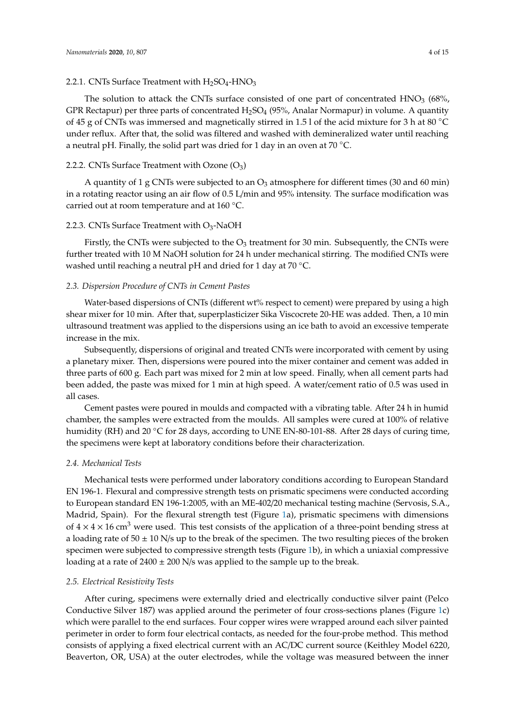#### 2.2.1. CNTs Surface Treatment with  $H_2SO_4$ -HNO<sub>3</sub>

The solution to attack the CNTs surface consisted of one part of concentrated  $HNO<sub>3</sub>$  (68%, GPR Rectapur) per three parts of concentrated  $H_2SO_4$  (95%, Analar Normapur) in volume. A quantity of 45 g of CNTs was immersed and magnetically stirred in 1.5 l of the acid mixture for 3 h at 80 ◦C under reflux. After that, the solid was filtered and washed with demineralized water until reaching a neutral pH. Finally, the solid part was dried for 1 day in an oven at 70  $^{\circ}$ C.

#### 2.2.2. CNTs Surface Treatment with Ozone  $(O_3)$

A quantity of 1 g CNTs were subjected to an  $O_3$  atmosphere for different times (30 and 60 min) in a rotating reactor using an air flow of 0.5 L/min and 95% intensity. The surface modification was carried out at room temperature and at 160 ◦C.

#### 2.2.3. CNTs Surface Treatment with  $O_3$ -NaOH

Firstly, the CNTs were subjected to the  $O_3$  treatment for 30 min. Subsequently, the CNTs were further treated with 10 M NaOH solution for 24 h under mechanical stirring. The modified CNTs were washed until reaching a neutral pH and dried for 1 day at 70 ◦C.

#### *2.3. Dispersion Procedure of CNTs in Cement Pastes*

Water-based dispersions of CNTs (different wt% respect to cement) were prepared by using a high shear mixer for 10 min. After that, superplasticizer Sika Viscocrete 20-HE was added. Then, a 10 min ultrasound treatment was applied to the dispersions using an ice bath to avoid an excessive temperate increase in the mix.

Subsequently, dispersions of original and treated CNTs were incorporated with cement by using a planetary mixer. Then, dispersions were poured into the mixer container and cement was added in three parts of 600 g. Each part was mixed for 2 min at low speed. Finally, when all cement parts had been added, the paste was mixed for 1 min at high speed. A water/cement ratio of 0.5 was used in all cases.

Cement pastes were poured in moulds and compacted with a vibrating table. After 24 h in humid chamber, the samples were extracted from the moulds. All samples were cured at 100% of relative humidity (RH) and 20 ℃ for 28 days, according to UNE EN-80-101-88. After 28 days of curing time, the specimens were kept at laboratory conditions before their characterization.

#### *2.4. Mechanical Tests*

Mechanical tests were performed under laboratory conditions according to European Standard EN 196-1. Flexural and compressive strength tests on prismatic specimens were conducted according to European standard EN 196-1:2005, with an ME-402/20 mechanical testing machine (Servosis, S.A., Madrid, Spain). For the flexural strength test (Figure [1a](#page-4-0)), prismatic specimens with dimensions of  $4 \times 4 \times 16$  cm<sup>3</sup> were used. This test consists of the application of a three-point bending stress at a loading rate of  $50 \pm 10$  N/s up to the break of the specimen. The two resulting pieces of the broken specimen were subjected to compressive strength tests (Figure [1b](#page-4-0)), in which a uniaxial compressive loading at a rate of  $2400 \pm 200$  N/s was applied to the sample up to the break.

#### *2.5. Electrical Resistivity Tests*

After curing, specimens were externally dried and electrically conductive silver paint (Pelco Conductive Silver 187) was applied around the perimeter of four cross-sections planes (Figure [1c](#page-4-0)) which were parallel to the end surfaces. Four copper wires were wrapped around each silver painted perimeter in order to form four electrical contacts, as needed for the four-probe method. This method consists of applying a fixed electrical current with an AC/DC current source (Keithley Model 6220, Beaverton, OR, USA) at the outer electrodes, while the voltage was measured between the inner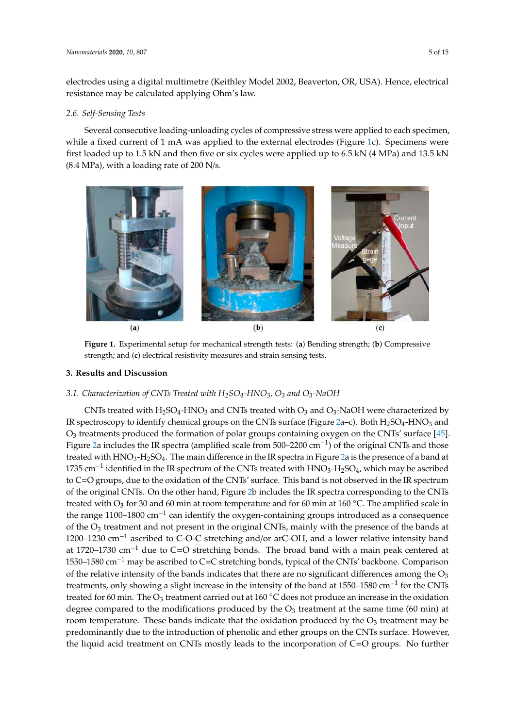electrodes using a digital multimetre (Keithley Model 2002, Beaverton, OR, USA). Hence, electrical resistance may be calculated applying Ohm's law.

#### *2.6. Self-Sensing Tests Nanomaterials* **2020**, *10*, x FOR PEER REVIEW 5 of 15

Several consecutive loading-unloading cycles of compressive stress were applied to each specimen, Several consecutive loading-unloading cycles of compressive stress were applied to each speciment,<br>while a fixed current of 1 mA was applied to the external electrodes (Figure [1c](#page-4-0)). Specimens were first loaded up to 1.5 kN and then five or six cycles were applied up to 6.5 kN (4 MPa) and 13.5 kN<br>(0.4 MPa) and 13.5 kN (8.4 MPa), with a loading rate of 200 N/s. species a fixed current of 1 mA was applied to the external electrodes (Figure 1c). Specimens were

<span id="page-4-0"></span>

Figure 1. Experimental setup for mechanical strength tests: (a) Bending strength; (b) Compressive strength; and (**c**) electrical resistivity measures and strain sensing tests. strength; and (**c**) electrical resistivity measures and strain sensing tests.

## **3. Results and Discussion 3. Results and Discussion**

## *3.1. Characterization of CNTs Treated with H2SO4-HNO3, O3 and O3-NaOH 3.1. Characterization of CNTs Treated with H2SO4-HNO3, O<sup>3</sup> and O3-NaOH*

CNTs treated with H2SO4-HNO3 and CNTs treated with O3 and O3-NaOH were characterized IR spectroscopy to identify chemical groups on the CNTs surface (Figure [2a](#page-6-0)–c). Both H2SO4-HNO<sup>3</sup> and  $\mathcal{O}_3$  treatments produced the formation of polar groups containing oxygen on the CNTs' surface [\[45\]](#page-14-10). and O3 treatments produced the formation of polar groups containing oxygen on the CNTs' surface Figure [2a](#page-6-0) includes the IR spectra (amplified scale from 500–2200 cm−<sup>1</sup> ) of the original CNTs and those [45]. Figure 2a includes the IR spectra (amplified scale from 500–2200 cm−1) of the original CNTs and treated with HNO3-H2SO4. The main difference in the IR spectra in Figure [2a](#page-6-0) is the presence of a band at those treated with HNO3-H2SO4. The main difference in the IR spectra in Figure 2a is the presence of 1735 cm−<sup>1</sup> identified in the IR spectrum of the CNTs treated with HNO3-H2SO4, which may be ascribed the C=O groups, due to the oxidation of the CNTs' surface. This band is not observed in the IR spectrum to C=O groups, due to the oxidation of the CNTs' surface. This band is not observed in the IR spectrum of the original CNTs. On the other hand, Figure [2b](#page-6-0) includes the IR spectra corresponding to the CNTs treated with  $O_3$  for 30 and 60 min at room temperature and for 60 min at 160  $\degree$ C. The amplified scale in the range 1100–1800 cm<sup>-1</sup> can identify the oxygen-containing groups introduced as a consequence the range 1100–1800 cm<sup>-1</sup> can identify the oxygen-containing groups introduced as a consequence of the O<sub>3</sub> treatment and not present in the original CNTs, mainly with the presence of the bands at a consequence of the bands at 1200–1230 cm<sup>−1</sup> ascribed to C-O-C stretching and/or arC-OH, and a lower relative intensity band the presence of the bands at the bands at the bands and a lower text of the bands of the band at 1720–1730 cm<sup>−1</sup> due to C=O stretching bonds. The broad band with a main peak centered at relative intensity band at 1720–1730 cm−1 due to C=O stretching bonds. The broad band with a main 1550–1580 cm−<sup>1</sup> may be ascribed to C=C stretching bonds, typical of the CNTs' backbone. Comparison peak center and the relative intensity of the bands indicates that there are no significant differences among the  $O_3$ treatments, only showing a slight increase in the intensity of the band at 1550–1580 cm<sup>−1</sup> for the CNTs treatments, only showing a slight increase in the intensity of the band at 160 °C does not produce an increase in the oxidation degree compared to the modifications produced by the  $O_3$  treatment at the same time (60 min) at  $degree$ room temperature. These bands indicate that the oxidation produced by the  $O_3$  treatment may be room temperature.  $t_{\text{max}}$  at the same time time time that the oxidation produced by the  $\sigma_3$  indicates  $\sigma_4$  and  $\sigma_5$  is predominantly due to the introduction of phenolic and ether groups on the CNTs surface. However, produced by the O3 treatment may be produced by the O3 treatment may be producted by  $\alpha$  treatment may be predominantly due to the introduction of  $C_1$ .  $\alpha$  is an output of  $\alpha$  the introduction of  $C_2$ .  $\alpha$  is a seq the liquid acid treatment on CNTs mostly leads to the incorporation of  $C=O$  groups. No further CNTs treated with  $H_2SO_4$ -HNO<sub>3</sub> and CNTs treated with O<sub>3</sub> and O<sub>3</sub>-NaOH were characterized by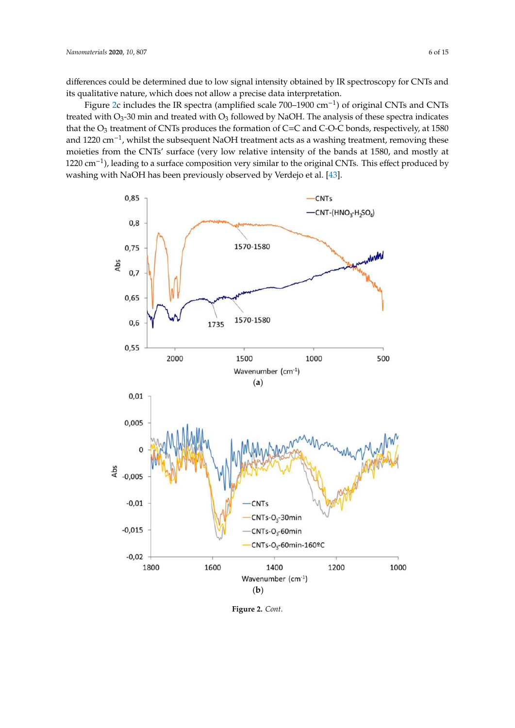differences could be determined due to low signal intensity obtained by IR spectroscopy for CNTs and its qualitative nature, which does not allow a precise data interpretation.

Figure [2c](#page-6-0) includes the IR spectra (amplified scale 700–1900 cm<sup>-1</sup>) of original CNTs and CNTs treated with  $O_3$ -30 min and treated with  $O_3$  followed by NaOH. The analysis of these spectra indicates that the  $O_3$  treatment of CNTs produces the formation of C=C and C-O-C bonds, respectively, at 1580 and 1220 cm−<sup>1</sup> , whilst the subsequent NaOH treatment acts as a washing treatment, removing these moieties from the CNTs' surface (very low relative intensity of the bands at 1580, and mostly at 1220 cm<sup>-1</sup>), leading to a surface composition very similar to the original CNTs. This effect produced by washing with NaOH has been previously observed by Verdejo et al. [43]. washing with NaOH has been previously observed by Verdejo et al. [\[43](#page-14-8)].



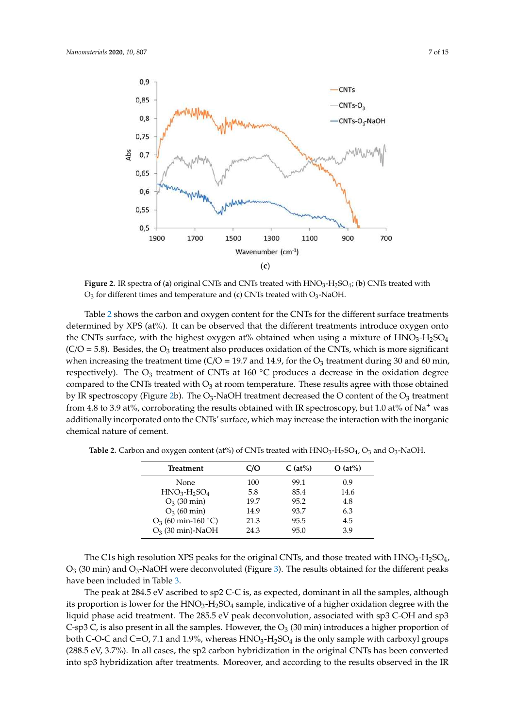<span id="page-6-0"></span>

Figure 2. IR spectra of (a) original CNTs and CNTs treated with  $HNO<sub>3</sub>-H<sub>2</sub>SO<sub>4</sub>$ ; (b) CNTs treated with  $O_3$  for different times and temperature and (**c**) CNTs treated with  $O_3$ -NaOH.

Ta[ble](#page-6-1) 2 shows the carbon and oxygen content for the CNTs for the different surface treatments Table 2 shows the carbon and oxygen content for the CNTs for the different surface treatments determined by XPS (at%). It can be observed that the different treatments introduce oxygen onto the CNTs surface, with the highest oxygen at% obtained when using a mixture of  $HNO<sub>3</sub>-H<sub>2</sub>SO<sub>4</sub>$ (C/O = 5.8). Besides, the O<sub>3</sub> treatment also produces oxidation of the CNTs, which is more significant when increasing the treatment time (C/O = 19.7 and 14.9, for the  $O_3$  treatment during 30 and 60 min, respectively). The  $O_3$  treatment of CNTs at 160 °C produces a decrease in the oxidation degree compared to the CNTs treated with  $O_3$  at room temperature. These results agree with those obtained by IR spectroscopy (Fig[ure](#page-6-0) 2b). The O<sub>3</sub>-NaOH treatment decreased the O content of the O<sub>3</sub> treatment from 4.8 to 3.9 at%, corroborating the results obtained with IR spectroscopy, but 1.0 at% of Na<sup>+</sup> was additionally incorporated onto the CNTs' surface, which may increase the interaction with the additionally incorporated onto the CNTs' surface, which may increase the interaction with the inorganic chemical nature of cement.

| <b>Treatment</b>      | C/O  | $C$ (at%) | $O$ (at%) |
|-----------------------|------|-----------|-----------|
| None                  | 100  | 99.1      | 0.9       |
| $HNO3-H2SO4$          | 5.8  | 85.4      | 14.6      |
| $O_3$ (30 min)        | 19.7 | 95.2      | 4.8       |
| $O_3$ (60 min)        | 14.9 | 93.7      | 6.3       |
| $O_3$ (60 min-160 °C) | 21.3 | 95.5      | 4.5       |
| $O_3$ (30 min)-NaOH   | 24.3 | 95.0      | 3.9       |

<span id="page-6-1"></span>**Table 2.** Carbon and oxygen content (at%) of CNTs treated with  $\text{HNO}_3\text{-} \text{H}_2\text{SO}_4$ ,  $\text{O}_3$  and  $\text{O}_3\text{-}\text{NaOH}$ .

 $O_3$  (30 min) and  $O_3$ -NaOH were deconvoluted (Figure 3). The results obtained for the different peaks have been included in Table 3. The results obtained for the different peaks obtained for the different peaks of The C1s high resolution XPS peaks for the original CNTs, and those treated with  $HNO<sub>3</sub>-H<sub>2</sub>SO<sub>4</sub>$ ,

The peak at 284.5 eV ascribed to sp2 C-C is, as expected, dominant in all the samples, although its proportion is lower for the  $HNO<sub>3</sub>-H<sub>2</sub>SO<sub>4</sub>$  sample, indicative of a higher oxidation degree with the liquid phase acid treatment. The 285.5 eV peak deconvolution, associated with sp3 C-OH and sp3 C-sp3 C, is also present in all the samples. However, the  $O_3$  (30 min) introduces a higher proportion of both C-O-C and C=O, 7.1 and 1.9%, whereas  $HNO<sub>3</sub>-H<sub>2</sub>SO<sub>4</sub>$  is the only sample with carboxyl groups (288.5 eV, 3.7%). In all cases, the sp2 carbon hybridization in the original CNTs has been converted into sp3 hybridization after treatments. Moreover, and according to the results observed in the IR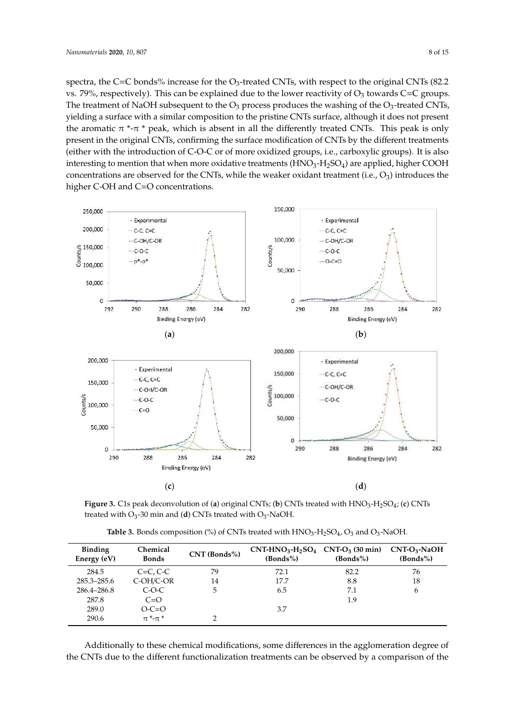spectra, the C=C bonds% increase for the O<sub>3</sub>-treated CNTs, with respect to the original CNTs (82.2) vs. 79%, respectively). This can be explained due to the lower reactivity of  $O_3$  towards C=C groups. The treatment of NaOH subsequent to the O<sub>3</sub> process produces the washing of the O<sub>3</sub>-treated CNTs, yielding a surface with a similar composition to the pristine CNTs surface, although it does not present yielding a surface with a similar composition to the pristine CNTs surface, although it does not the aromatic  $\pi^*$ - $\pi^*$  peak, which is absent in all the differently treated CNTs. This peak is only present in the original CNTs, confirming the surface modification of CNTs by the different treatments their with the introduction of C-O-C or of more oxidized groups, i.e., carboxylic groups). It is also interesting to mention that when more oxidative treatments ( $\overrightarrow{HNO_3-H_2SO_4}$ ) are applied, higher COOH concentrations are observed for the CNTs, while the weaker oxidant treatment (i.e.,  $O_3$ ) introduces the higher C-OH and C=O concentrations.

<span id="page-7-0"></span>

Figure 3. C1s peak deconvolution of (a) original CNTs; (b) CNTs treated with  $HNO_3-H_2SO_4$ ; (c) CNTs treated with  $O_3$ -30 min and (**d**) CNTs treated with  $O_3$ -NaOH.

**Table 3.** Bonds composition (%) of CNTs treated with  $\text{HNO}_3\text{-} \text{H}_2\text{SO}_4$ ,  $\text{O}_3$  and  $\text{O}_3\text{-}\text{NaOH}.$ 

<span id="page-7-1"></span>

| <b>Binding</b><br>Energy (eV) | Chemical<br><b>Bonds</b>                | $CNT$ (Bonds%) | $CNT-HNO3-H2SO4$ $CNT-O3$ (30 min)<br>(Bonds%) | (Bonds%) | $CNT-O3$ -NaOH<br>(Bonds%) |
|-------------------------------|-----------------------------------------|----------------|------------------------------------------------|----------|----------------------------|
| 284.5                         | $C=C, C-C$                              | 79             | 72.1                                           | 82.2     | 76                         |
| 285.3–285.6                   | $C-OH/C-OR$                             | 14             | 17.7                                           | 8.8      | 18                         |
| 286.4-286.8                   | $C-O-C$                                 | 5              | 6.5                                            | 7.1      | 6                          |
| 287.8                         | $C=O$                                   |                |                                                | 1.9      |                            |
| 289.0                         | $O-C=O$                                 |                | 3.7                                            |          |                            |
| 290.6                         | $\pi$ <sup>*</sup> - $\pi$ <sup>*</sup> |                |                                                |          |                            |
|                               |                                         |                |                                                |          |                            |

Additionally to these chemical modifications, some differences in the agglomeration degree of Additionally to these chemical modifications, some differences in the agglomeration degree of the CNTs due to the different functionalization treatments can be observed by a comparison of the the CNTs due to the different functionalization treatments can be observed by a comparison of the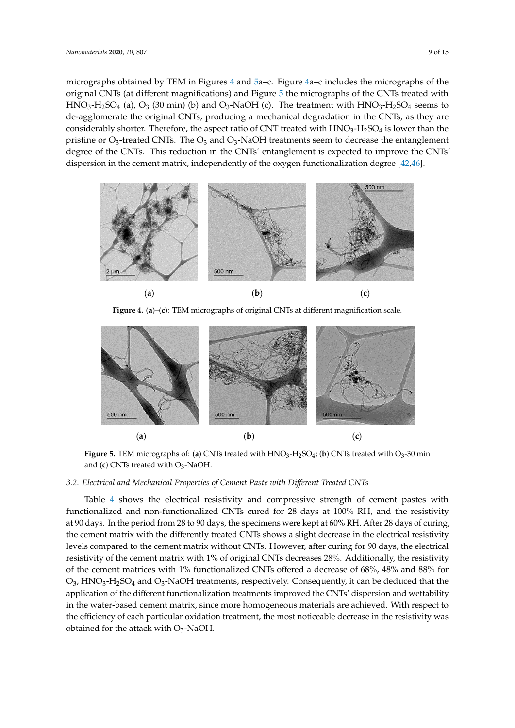micrographs obtained by TEM in Figures [4](#page-8-0) and [5a](#page-8-1)–c. Figure [4a](#page-8-0)–c includes the micrographs of the original CNTs (at different magnifications) and Figure 5 the micrographs of the CNTs treated with  $HNO<sub>3</sub>-H<sub>2</sub>SO<sub>4</sub>$  (a),  $O<sub>3</sub>$  (30 min) (b) and  $O<sub>3</sub>-NaOH$  (c). The treatment with  $HNO<sub>3</sub>-H<sub>2</sub>SO<sub>4</sub>$  seems to de-agglomerate the original CNTs, producing a mechanical degradation in the CNTs, as they are considerably shorter. Therefore, the aspect ratio of CNT treated with  $HNO<sub>3</sub>-H<sub>2</sub>SO<sub>4</sub>$  is lower than the pristine or  $O_3$ -treated CNTs. The  $O_3$  and  $O_3$ -NaOH treatments seem to decrease the entanglement degree of the CNTs. This reduction in the CNTs' entanglement is expected to improve the CNTs' dispersion in [the](#page-14-11) cement matrix, independently of the oxygen functionalization degree [42,46].

<span id="page-8-0"></span>

**Figure 4.** (a)–(c): TEM micrographs of original CNTs at different magnification scale. **Figure 4. a–c:** TEM micrographs of original CNTs at different magnification scale.

<span id="page-8-1"></span>

**Figure 5.** TEM micrographs of: (**a**) CNTs treated with  $HNO_3$ -H<sub>2</sub>SO<sub>4</sub>; (**b**) CNTs treated with O<sub>3</sub>-30 min and (**c**) CNTs treated with O<sub>3</sub>-NaOH.

### *3.2. Electrical and Mechanical Properties of Cement Paste with Different Treated CNTs 3.2. Electrical and Mechanical Properties of Cement Paste with Di*ff*erent Treated CNTs*

*3.2. Electrical and Mechanical Properties of Cement Paste with Different Treated CNTs*  functionalized and non-functionalized CNTs cured for 28 days at 100% RH, and the resistivity at 90 days. In the period from 28 to 90 days, the specimens were kept at 60% RH. After 28 days of curing, the cement matrix with the differently treated CNTs shows a slight decrease in the electrical resistivity levels compared to the cement matrix without CNTs. However, after curing for 90 days, the electrical resistivity of the cement matrix with 1% of original CNTs decreases 28%. Additionally, the resistivity of the cement matrices with 1% functionalized CNTs offered a decrease of 68%, 48% and 88% for  $O_3$ , HNO<sub>3</sub>-H<sub>2</sub>SO<sub>4</sub> and O<sub>3</sub>-NaOH treatments, respectively. Consequently, it can be deduced that the application of the different functionalization treatments improved the CNTs' dispersion and wettability in the water-based cement matrix, since more homogeneous materials are achieved. With respect to the efficiency of each particular oxidation treatment, the most noticeable decrease in the resistivity was obtained for the attack with O<sub>3</sub>-NaOH. Table 4 shows the electrical resistivity and compressive strength of cement pastes with Table [4](#page-9-0) shows the electrical resistivity and compressive strength of cement pastes with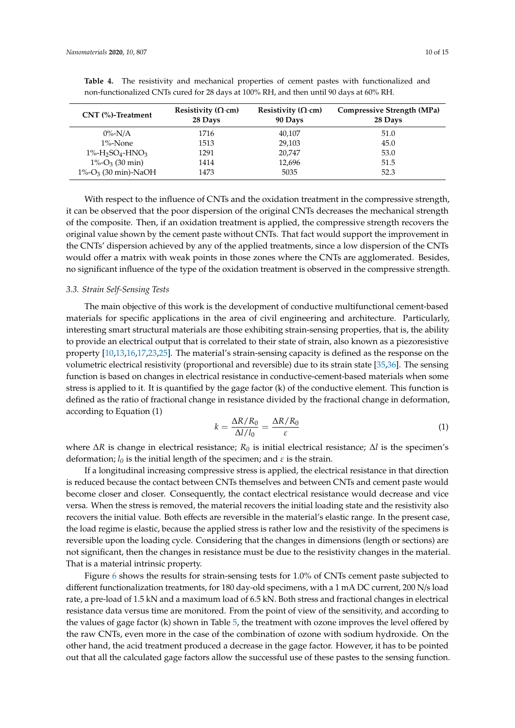| $CNT$ $%$ )-Treatment               | Resistivity ( $\Omega$ ·cm)<br>28 Days | Resistivity ( $\Omega$ ·cm)<br>90 Days | Compressive Strength (MPa)<br>28 Days |
|-------------------------------------|----------------------------------------|----------------------------------------|---------------------------------------|
| $0\%$ -N/A                          | 1716                                   | 40,107                                 | 51.0                                  |
| $1\%$ -None                         | 1513                                   | 29,103                                 | 45.0                                  |
| $1\% - H_2SO_4$ -HNO <sub>3</sub>   | 1291                                   | 20.747                                 | 53.0                                  |
| $1\%$ -O <sub>3</sub> (30 min)      | 1414                                   | 12,696                                 | 51.5                                  |
| $1\%$ -O <sub>3</sub> (30 min)-NaOH | 1473                                   | 5035                                   | 52.3                                  |

<span id="page-9-0"></span>**Table 4.** The resistivity and mechanical properties of cement pastes with functionalized and non-functionalized CNTs cured for 28 days at 100% RH, and then until 90 days at 60% RH.

With respect to the influence of CNTs and the oxidation treatment in the compressive strength, it can be observed that the poor dispersion of the original CNTs decreases the mechanical strength of the composite. Then, if an oxidation treatment is applied, the compressive strength recovers the original value shown by the cement paste without CNTs. That fact would support the improvement in the CNTs' dispersion achieved by any of the applied treatments, since a low dispersion of the CNTs would offer a matrix with weak points in those zones where the CNTs are agglomerated. Besides, no significant influence of the type of the oxidation treatment is observed in the compressive strength.

#### *3.3. Strain Self-Sensing Tests*

The main objective of this work is the development of conductive multifunctional cement-based materials for specific applications in the area of civil engineering and architecture. Particularly, interesting smart structural materials are those exhibiting strain-sensing properties, that is, the ability to provide an electrical output that is correlated to their state of strain, also known as a piezoresistive property [\[10](#page-12-6)[,13](#page-13-18)[,16](#page-13-2)[,17](#page-13-3)[,23](#page-13-8)[,25\]](#page-13-10). The material's strain-sensing capacity is defined as the response on the volumetric electrical resistivity (proportional and reversible) due to its strain state [\[35,](#page-14-0)[36\]](#page-14-1). The sensing function is based on changes in electrical resistance in conductive-cement-based materials when some stress is applied to it. It is quantified by the gage factor (k) of the conductive element. This function is defined as the ratio of fractional change in resistance divided by the fractional change in deformation, according to Equation (1)

$$
k = \frac{\Delta R/R_0}{\Delta l/l_0} = \frac{\Delta R/R_0}{\varepsilon} \tag{1}
$$

where ∆*R* is change in electrical resistance; *R<sup>0</sup>* is initial electrical resistance; ∆*l* is the specimen's deformation;  $l_0$  is the initial length of the specimen; and  $\varepsilon$  is the strain.

If a longitudinal increasing compressive stress is applied, the electrical resistance in that direction is reduced because the contact between CNTs themselves and between CNTs and cement paste would become closer and closer. Consequently, the contact electrical resistance would decrease and vice versa. When the stress is removed, the material recovers the initial loading state and the resistivity also recovers the initial value. Both effects are reversible in the material's elastic range. In the present case, the load regime is elastic, because the applied stress is rather low and the resistivity of the specimens is reversible upon the loading cycle. Considering that the changes in dimensions (length or sections) are not significant, then the changes in resistance must be due to the resistivity changes in the material. That is a material intrinsic property.

Figure [6](#page-10-0) shows the results for strain-sensing tests for 1.0% of CNTs cement paste subjected to different functionalization treatments, for 180 day-old specimens, with a 1 mA DC current, 200 N/s load rate, a pre-load of 1.5 kN and a maximum load of 6.5 kN. Both stress and fractional changes in electrical resistance data versus time are monitored. From the point of view of the sensitivity, and according to the values of gage factor (k) shown in Table [5,](#page-10-1) the treatment with ozone improves the level offered by the raw CNTs, even more in the case of the combination of ozone with sodium hydroxide. On the other hand, the acid treatment produced a decrease in the gage factor. However, it has to be pointed out that all the calculated gage factors allow the successful use of these pastes to the sensing function.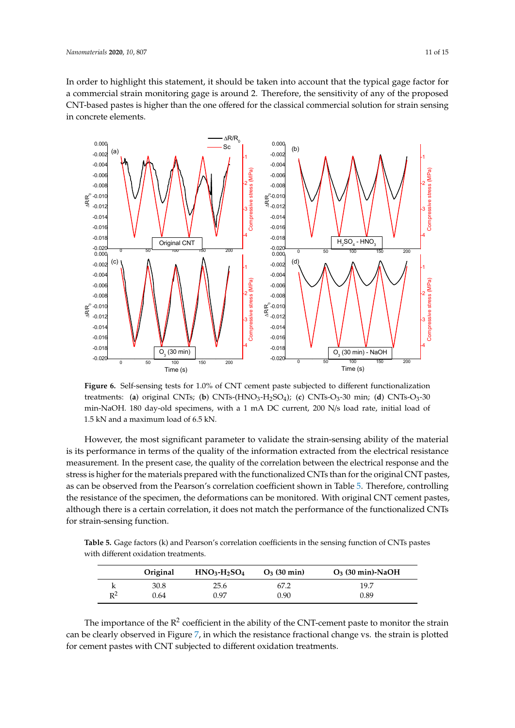In order to highlight this statement, it should be taken into account that the typical gage factor for a commercial strain monitoring gage is around 2. Therefore, the sensitivity of any of the proposed CNT-based pastes is higher than the one offered for the classical commercial solution for strain sensing in concrete elements.

<span id="page-10-0"></span>

treatments: (a) original CNTs; (b)  $CNTs-(HNO<sub>3</sub>-H<sub>2</sub>SO<sub>4</sub>)$ ; (c)  $CNTs-O<sub>3</sub>-30$  min; (d)  $CNTs-O<sub>3</sub>-30$ min-NaOH. 180 day-old specimens, with a 1 mA DC current, 200 N/s load rate, initial load of 1.5 kN and a maximum load of 6.5 kN. **Figure 6.** Self-sensing tests for 1.0% of CNT cement paste subjected to different functionalization

is its performance in terms of the quality of the information extracted from the electrical resistance measurement. In the present case, the quality of the correlation between the electrical response and the stress is higher for the materials prepared with the functionalized CNTs than for the original CNT pastes, as can be observed from [th](#page-10-1)e Pearson's correlation coefficient shown in Table 5. Therefore, controlling the resistance of the specimen, the deformations can be monitored. With original CNT cement pastes, although there is a certain correlation, it does not match the performance of the functionalized CNTs for strain-sensing function. However, the most significant parameter to validate the strain-sensing ability of the material

<span id="page-10-1"></span>with different oxidation treatments. **Table 5.** Gage factors (k) and Pearson's correlation coefficients in the sensing function of CNTs pastes

|       | Original | $HNO3$ -H <sub>2</sub> SO <sub>4</sub> | $O_3$ (30 min) | $O_3$ (30 min)-NaOH |
|-------|----------|----------------------------------------|----------------|---------------------|
|       | 30.8     | 25.6                                   | 67.2           | 19.7                |
| $R^2$ | 0.64     | 0.97                                   | 0.90           | 0.89                |

The importance of the  $R^2$  coefficient in the ability of the CNT-cement paste to monitor the strain can be clearly observed in Figure 7, in which the resistance fractional change vs. the strain is plotted can be clearly observed in Figure [7,](#page-11-0) in which the resistance fractional change vs. the strain is plotted for cement pastes with CNT subjected to different oxidation treatments. for cement pastes with CNT subjected to different oxidation treatments.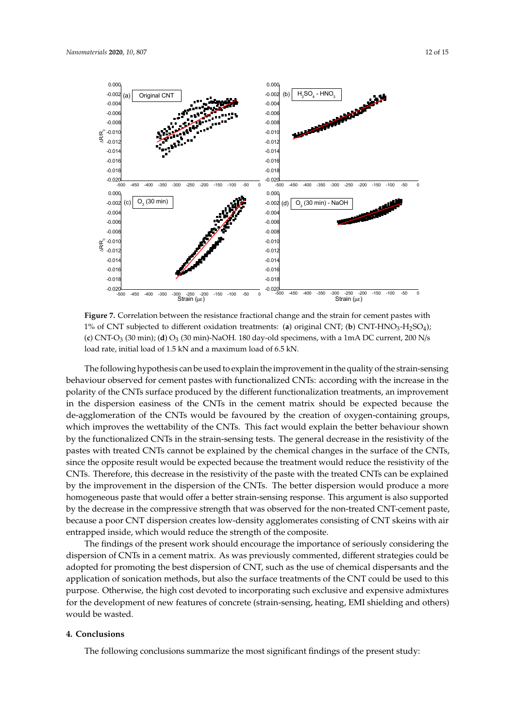<span id="page-11-0"></span>

1% of CNT subjected to different oxidation treatments: (**a**) original CNT; (**b**) CNT-HNO<sub>3</sub>-H<sub>2</sub>SO<sub>4</sub>); (c) CNT-O<sub>3</sub> (30 min); (d) O<sub>3</sub> (30 min)-NaOH. 180 day-old specimens, with a 1mA DC current, 200 N/s load rate, initial load of 1.5 kN and a maximum load of 6.5 kN. **Figure 7.** Correlation between the resistance fractional change and the strain for cement pastes with

The following hypothesis can be used to explain the improvement in the quality of the strain-sensing behaviour observed for cement pastes with functionalized CNTs: according with the increase in the intervalsed control to the strainpolarity of the CNTs surface produced by the different functionalization treatments, an improvement in the dispersion easiness of the CNTs in the cement matrix should be expected because the de-agglomeration of the CNTs would be favoured by the creation of oxygen-containing groups, which improves the wettability of the CNTs. This fact would explain the better behaviour shown by the functionalized CNTs in the strain-sensing tests. The general decrease in the resistivity of the  $\sim$ pastes with treated CNTs cannot be explained by the chemical changes in the surface of the CNTs, since the opposite result would be expected because the treatment would reduce the resistivity of the  $\sim$ CNTs. Therefore, this decrease in the resistivity of the paste with the treated CNTs can be explained by the improvement in the dispersion of the CNTs. The better dispersion would produce a more homogeneous paste that would offer a better strain-sensing response. This argument is also supported<br>. by the decrease in the compressive strength that was observed for the non-treated CNT-cement paste,<br> $\frac{1}{2}$ because a poor CNT dispersion creates low-density agglomerates consisting of CNT skeins with air entrapped inside, which would reduce the strength of the composite.<br>
entrapped inside, which would reduce the strength of the composite.

The findings of the present work should encourage the importance of seriously considering the compositering the compositering the compositering the compositering the compositering the compositering the compositering the co dispersion of CNTs in a cement matrix. As was previously commented, different strategies could be adopted for promoting the best dispersion of CNT, such as the use of chemical dispersants and the application of sonication methods, but also the surface treatments of the CNT could be used to this purpose. Otherwise, the high cost devoted to incorporating such exclusive and expensive admixtures<br>
experiences for the development of new features of concrete (strain-sensing, heating, EMI shielding and others)  $\delta$  development of new features of new features of concrete  $\delta$  shielding and others) and others in  $\delta$ would be wasted.

## **4. Conclusions**

**4. Conclusions**  The following conclusions summarize the most significant findings of the present study: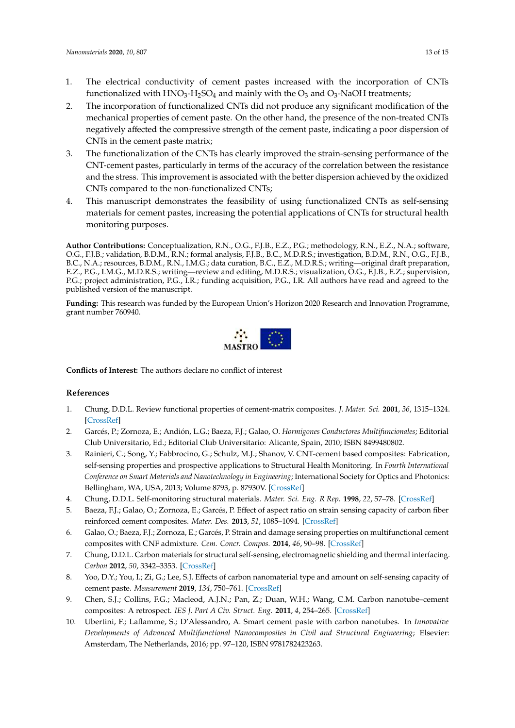- 1. The electrical conductivity of cement pastes increased with the incorporation of CNTs functionalized with  $HNO<sub>3</sub>-H<sub>2</sub>SO<sub>4</sub>$  and mainly with the  $O<sub>3</sub>$  and  $O<sub>3</sub>-NaOH$  treatments;
- 2. The incorporation of functionalized CNTs did not produce any significant modification of the mechanical properties of cement paste. On the other hand, the presence of the non-treated CNTs negatively affected the compressive strength of the cement paste, indicating a poor dispersion of CNTs in the cement paste matrix;
- 3. The functionalization of the CNTs has clearly improved the strain-sensing performance of the CNT-cement pastes, particularly in terms of the accuracy of the correlation between the resistance and the stress. This improvement is associated with the better dispersion achieved by the oxidized CNTs compared to the non-functionalized CNTs;
- 4. This manuscript demonstrates the feasibility of using functionalized CNTs as self-sensing 4. materials for cement pastes, increasing the potential applications of CNTs for structural health monitoring purposes.

**Author Contributions:** Conceptualization, R.N., O.G., F.J.B., E.Z., P.G.; methodology, R.N., E.Z., N.A.; software, O.G., F.J.B.; validation, B.D.M., R.N.; formal analysis, F.J.B., B.C., M.D.R.S.; investigation, B.D.M., R.N., O.G., F.J.B., B.C., N.A.; resources, B.D.M., R.N., I.M.G.; data curation, B.C., E.Z., M.D.R.S.; writing—original draft preparation, E.Z., P.G., I.M.G., M.D.R.S.; writing—review and editing, M.D.R.S.; visualization, O.G., F.J.B., E.Z.; supervision, P.G.; project administration, P.G., I.R.; funding acquisition, P.G., I.R. All authors have read and agreed to the published version of the manuscript. Author Contributions: Conceptualization, K.N., O.G., F.J.B., E.Z., P.G.; methodology, K.N., E.Z., N.A.; sortware,

**Funding:** This research was funded by the European Union's Horizon 2020 Research and Innovation Programme, grant number 760940.  $\sigma$ 



**Conflicts of Interest**: The authors declare no conflict of interest **Conflicts of Interest:** The authors declare no conflict of interest

## **References References**

- <span id="page-12-0"></span>1. Chung, D.D.L. Review functional properties of cement-matrix composites. *J. Mater. Sci.* **2001**, *36*, 1315–1324. 1. Chung, D.D.L. Review functional properties of cement-matrix composites. *J. Mater. Sci.* 2001, 36, 1315–1324. [\[CrossRef\]](http://dx.doi.org/10.1023/A:1017522616006)
- <span id="page-12-1"></span>2. Garcés, P.; Zornoza, E.; Andión, L.G.; Baeza, F.J.; Galao, O. Hormigones Conductores Multifuncionales; Editorial 3. Rainieri, C.; Song, Y.; Fabbrocino, G.; Schulz, M.J.; Shanov, V. CNT-cement based composites: Fabrication, Club Universitario, Ed.; Editorial Club Universitario: Alicante, Spain, 2010; ISBN 8499480802.
- <span id="page-12-2"></span>3. Rainieri, C.; Song, Y.; Fabbrocino, G.; Schulz, M.J.; Shanov, V. CNT-cement based composites: Fabrication, self-sensing properties and prospective applications to Structural Health Monitoring. In Fourth International *Conference on Smart Materials and Nanotechnology in Engineering*; International Society for Optics and Photonics: 4. Chung, D.D.L. Self-monitoring structural materials. *Mater. Sci. Eng. R Rep.* **1998**, *22*, 57–78, Bellingham, WA, USA, 2013; Volume 8793, p. 87930V. [\[CrossRef\]](http://dx.doi.org/10.1117/12.2027705)
- <span id="page-12-3"></span>4. Chung, D.D.L. Self-monitoring structural materials. *Mater. Sci. Eng. R Rep.* **1998**, 22, 57–78. [\[CrossRef\]](http://dx.doi.org/10.1016/S0927-796X(97)00021-1)
- 5. Baeza, F.J.; Galao, O.; Zornoza, E.; Garcés, P. Effect of aspect ratio on strain sensing capacity of carbon fiber reinforced cement composites. *Mater. Des.* **2013**, 51, 1085–1094. [\[CrossRef\]](http://dx.doi.org/10.1016/j.matdes.2013.05.010)
- 6. Galao, O.; Baeza, F.J.; Zornoza, E.; Garcés, P. Strain and damage sensing properties on multifunctional 6. Galao, O.; Baeza, F.J.; Zornoza, E.; Garcés, P. Strain and damage sensing properties on multifunctional cement cement composites with CNF admixture. *Cem. Concr. Compos.* **2014**, *46*, 90–98, composites with CNF admixture. *Cem. Concr. Compos.* **2014**, *46*, 90–98. [\[CrossRef\]](http://dx.doi.org/10.1016/j.cemconcomp.2013.11.009)
- <span id="page-12-4"></span>7. Chung, D.D.L. Carbon materials for structural self-sensing, electromagnetic shielding and thermal interfacing. **Carbon 2012**, 50, 3342–3353. [\[CrossRef\]](http://dx.doi.org/10.1016/j.carbon.2012.01.031)
- <span id="page-12-5"></span>8. Yoo, D.Y.; You, I.; Zi, G.; Lee, S.J. Effects of carbon nanomaterial type and amount on self-sensing capacity of cement paste. *Measurement* 2019, 134, 750–761. [\[CrossRef\]](http://dx.doi.org/10.1016/j.measurement.2018.11.024)
- 9. Chen, S.J.; Collins, F.G.; Macleod, A.J.N.; Pan, Z.; Duan, W.H.; Wang, C.M. Carbon nanotube–cement composites: A retrospect. *IES J. Part A Civ. Struct. Eng.* 2011, 4, 254–265. [\[CrossRef\]](http://dx.doi.org/10.1080/19373260.2011.615474)
- <span id="page-12-6"></span>10. Ubertini, F.; Laflamme, S.; D'Alessandro, A. Smart cement paste with carbon nanotubes. In Innovative Developments of Advanced Multifunctional Nanocomposites in Civil and Structural Engineering; Elsevier: *Developments of Advanced Multifunctional Nanocomposites in Civil and Structural Engineering*; Elsevier: Amsterdam, The Netherlands, 2016; pp. 97–120, ISBN 9781782423263. $\frac{1}{2}$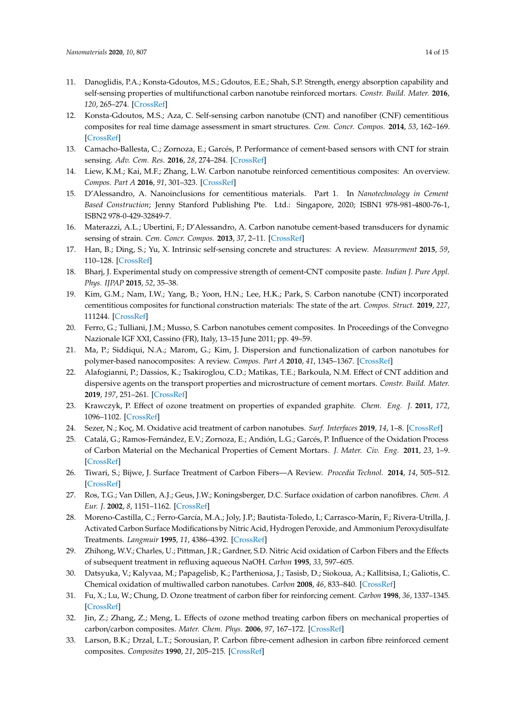- <span id="page-13-0"></span>11. Danoglidis, P.A.; Konsta-Gdoutos, M.S.; Gdoutos, E.E.; Shah, S.P. Strength, energy absorption capability and self-sensing properties of multifunctional carbon nanotube reinforced mortars. *Constr. Build. Mater.* **2016**, *120*, 265–274. [\[CrossRef\]](http://dx.doi.org/10.1016/j.conbuildmat.2016.05.049)
- <span id="page-13-17"></span>12. Konsta-Gdoutos, M.S.; Aza, C. Self-sensing carbon nanotube (CNT) and nanofiber (CNF) cementitious composites for real time damage assessment in smart structures. *Cem. Concr. Compos.* **2014**, *53*, 162–169. [\[CrossRef\]](http://dx.doi.org/10.1016/j.cemconcomp.2014.07.003)
- <span id="page-13-18"></span>13. Camacho-Ballesta, C.; Zornoza, E.; Garcés, P. Performance of cement-based sensors with CNT for strain sensing. *Adv. Cem. Res.* **2016**, *28*, 274–284. [\[CrossRef\]](http://dx.doi.org/10.1680/adcr.14.00120)
- 14. Liew, K.M.; Kai, M.F.; Zhang, L.W. Carbon nanotube reinforced cementitious composites: An overview. *Compos. Part A* **2016**, *91*, 301–323. [\[CrossRef\]](http://dx.doi.org/10.1016/j.compositesa.2016.10.020)
- <span id="page-13-1"></span>15. D'Alessandro, A. Nanoinclusions for cementitious materials. Part 1. In *Nanotechnology in Cement Based Construction*; Jenny Stanford Publishing Pte. Ltd.: Singapore, 2020; ISBN1 978-981-4800-76-1, ISBN2 978-0-429-32849-7.
- <span id="page-13-2"></span>16. Materazzi, A.L.; Ubertini, F.; D'Alessandro, A. Carbon nanotube cement-based transducers for dynamic sensing of strain. *Cem. Concr. Compos.* **2013**, *37*, 2–11. [\[CrossRef\]](http://dx.doi.org/10.1016/j.cemconcomp.2012.12.013)
- <span id="page-13-3"></span>17. Han, B.; Ding, S.; Yu, X. Intrinsic self-sensing concrete and structures: A review. *Measurement* **2015**, *59*, 110–128. [\[CrossRef\]](http://dx.doi.org/10.1016/j.measurement.2014.09.048)
- <span id="page-13-4"></span>18. Bharj, J. Experimental study on compressive strength of cement-CNT composite paste. *Indian J. Pure Appl. Phys. IJPAP* **2015**, *52*, 35–38.
- <span id="page-13-5"></span>19. Kim, G.M.; Nam, I.W.; Yang, B.; Yoon, H.N.; Lee, H.K.; Park, S. Carbon nanotube (CNT) incorporated cementitious composites for functional construction materials: The state of the art. *Compos. Struct.* **2019**, *227*, 111244. [\[CrossRef\]](http://dx.doi.org/10.1016/j.compstruct.2019.111244)
- <span id="page-13-6"></span>20. Ferro, G.; Tulliani, J.M.; Musso, S. Carbon nanotubes cement composites. In Proceedings of the Convegno Nazionale IGF XXI, Cassino (FR), Italy, 13–15 June 2011; pp. 49–59.
- <span id="page-13-7"></span>21. Ma, P.; Siddiqui, N.A.; Marom, G.; Kim, J. Dispersion and functionalization of carbon nanotubes for polymer-based nanocomposites: A review. *Compos. Part A* **2010**, *41*, 1345–1367. [\[CrossRef\]](http://dx.doi.org/10.1016/j.compositesa.2010.07.003)
- 22. Alafogianni, P.; Dassios, K.; Tsakiroglou, C.D.; Matikas, T.E.; Barkoula, N.M. Effect of CNT addition and dispersive agents on the transport properties and microstructure of cement mortars. *Constr. Build. Mater.* **2019**, *197*, 251–261. [\[CrossRef\]](http://dx.doi.org/10.1016/j.conbuildmat.2018.11.169)
- <span id="page-13-8"></span>23. Krawczyk, P. Effect of ozone treatment on properties of expanded graphite. *Chem. Eng. J.* **2011**, *172*, 1096–1102. [\[CrossRef\]](http://dx.doi.org/10.1016/j.cej.2011.06.005)
- <span id="page-13-9"></span>24. Sezer, N.; Koç, M. Oxidative acid treatment of carbon nanotubes. *Surf. Interfaces* **2019**, *14*, 1–8. [\[CrossRef\]](http://dx.doi.org/10.1016/j.surfin.2018.11.001)
- <span id="page-13-10"></span>25. Catalá, G.; Ramos-Fernández, E.V.; Zornoza, E.; Andión, L.G.; Garcés, P. Influence of the Oxidation Process of Carbon Material on the Mechanical Properties of Cement Mortars. *J. Mater. Civ. Eng.* **2011**, *23*, 1–9. [\[CrossRef\]](http://dx.doi.org/10.1061/(ASCE)MT.1943-5533.0000175)
- <span id="page-13-11"></span>26. Tiwari, S.; Bijwe, J. Surface Treatment of Carbon Fibers—A Review. *Procedia Technol.* **2014**, *14*, 505–512. [\[CrossRef\]](http://dx.doi.org/10.1016/j.protcy.2014.08.064)
- <span id="page-13-12"></span>27. Ros, T.G.; Van Dillen, A.J.; Geus, J.W.; Koningsberger, D.C. Surface oxidation of carbon nanofibres. *Chem. A Eur. J.* **2002**, *8*, 1151–1162. [\[CrossRef\]](http://dx.doi.org/10.1002/1521-3765(20020301)8:5<1151::AID-CHEM1151>3.0.CO;2-)
- 28. Moreno-Castilla, C.; Ferro-García, M.A.; Joly, J.P.; Bautista-Toledo, I.; Carrasco-Marín, F.; Rivera-Utrilla, J. Activated Carbon Surface Modifications by Nitric Acid, Hydrogen Peroxide, and Ammonium Peroxydisulfate Treatments. *Langmuir* **1995**, *11*, 4386–4392. [\[CrossRef\]](http://dx.doi.org/10.1021/la00011a035)
- 29. Zhihong, W.V.; Charles, U.; Pittman, J.R.; Gardner, S.D. Nitric Acid oxidation of Carbon Fibers and the Effects of subsequent treatment in refluxing aqueous NaOH. *Carbon* **1995**, *33*, 597–605.
- <span id="page-13-13"></span>30. Datsyuka, V.; Kalyvaa, M.; Papagelisb, K.; Partheniosa, J.; Tasisb, D.; Siokoua, A.; Kallitsisa, I.; Galiotis, C. Chemical oxidation of multiwalled carbon nanotubes. *Carbon* **2008**, *46*, 833–840. [\[CrossRef\]](http://dx.doi.org/10.1016/j.carbon.2008.02.012)
- <span id="page-13-14"></span>31. Fu, X.; Lu, W.; Chung, D. Ozone treatment of carbon fiber for reinforcing cement. *Carbon* **1998**, *36*, 1337–1345. [\[CrossRef\]](http://dx.doi.org/10.1016/S0008-6223(98)00115-8)
- <span id="page-13-15"></span>32. Jin, Z.; Zhang, Z.; Meng, L. Effects of ozone method treating carbon fibers on mechanical properties of carbon/carbon composites. *Mater. Chem. Phys.* **2006**, *97*, 167–172. [\[CrossRef\]](http://dx.doi.org/10.1016/j.matchemphys.2005.08.002)
- <span id="page-13-16"></span>33. Larson, B.K.; Drzal, L.T.; Sorousian, P. Carbon fibre-cement adhesion in carbon fibre reinforced cement composites. *Composites* **1990**, *21*, 205–215. [\[CrossRef\]](http://dx.doi.org/10.1016/0010-4361(90)90235-O)